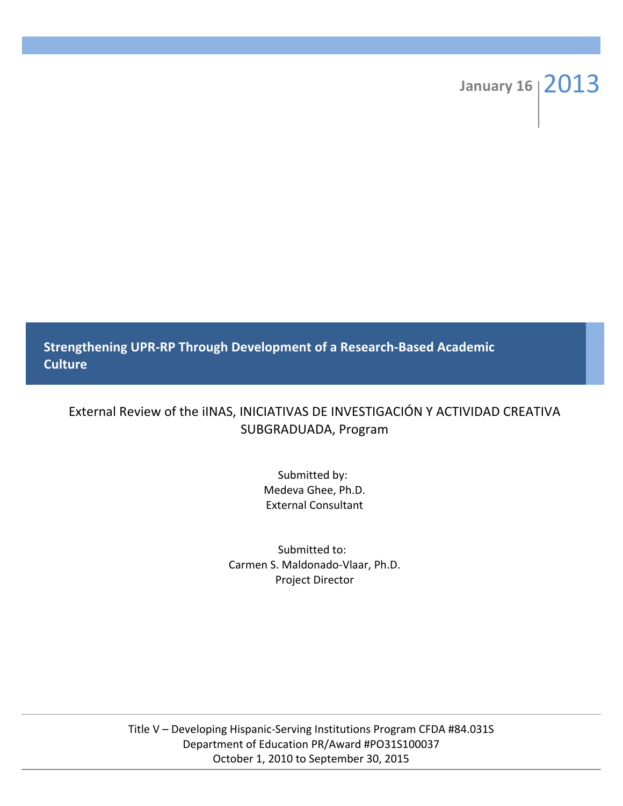# January 16 2013

**Strengthening UPR-RP Through Development of a Research-Based Academic Culture**

# External Review of the iINAS, INICIATIVAS DE INVESTIGACIÓN Y ACTIVIDAD CREATIVA SUBGRADUADA, Program

Submitted by: Medeva Ghee, Ph.D. External Consultant

Submitted to: Carmen S. Maldonado-Vlaar, Ph.D. Project Director

Title V - Developing Hispanic-Serving Institutions Program CFDA #84.031S Department of Education PR/Award #PO31S100037 October 1, 2010 to September 30, 2015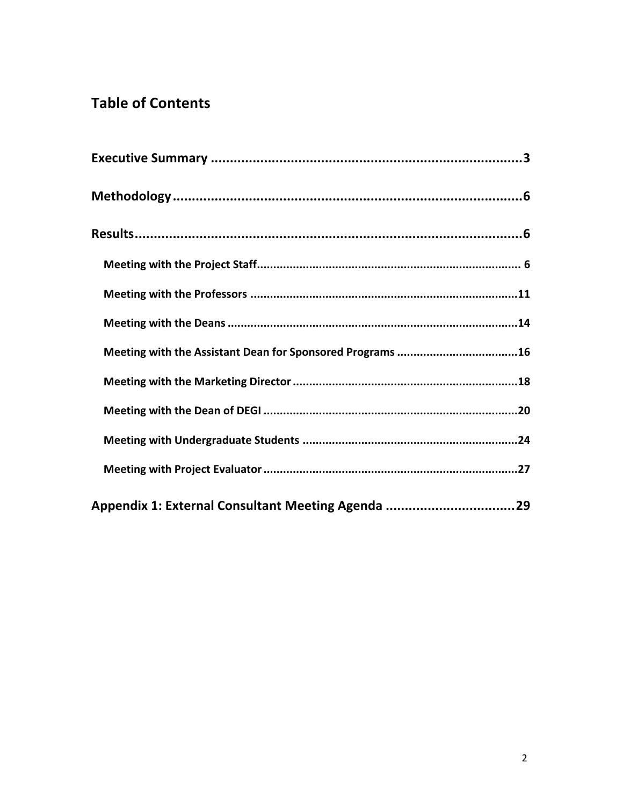# **Table of Contents**

| Appendix 1: External Consultant Meeting Agenda 29 |  |
|---------------------------------------------------|--|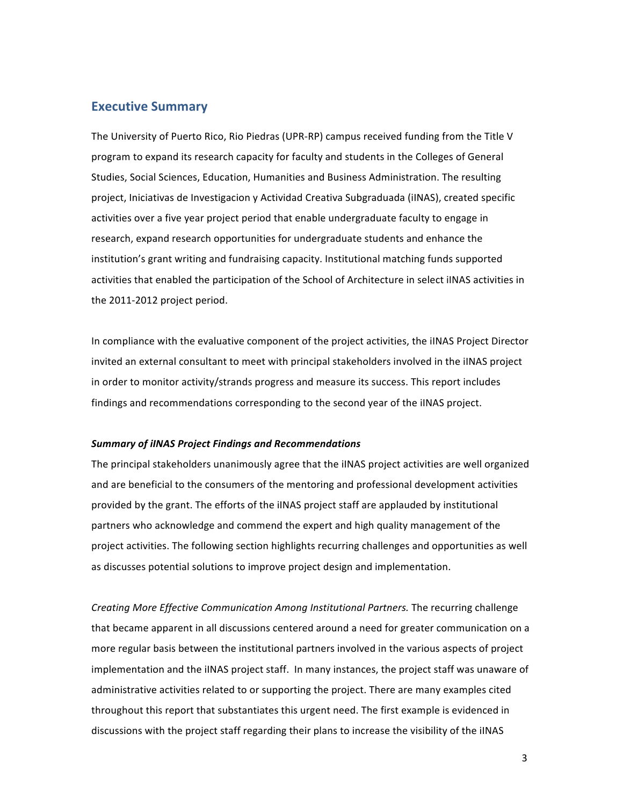## **Executive Summary**

The University of Puerto Rico, Rio Piedras (UPR-RP) campus received funding from the Title V program to expand its research capacity for faculty and students in the Colleges of General Studies, Social Sciences, Education, Humanities and Business Administration. The resulting project, Iniciativas de Investigacion y Actividad Creativa Subgraduada (iINAS), created specific activities over a five year project period that enable undergraduate faculty to engage in research, expand research opportunities for undergraduate students and enhance the institution's grant writing and fundraising capacity. Institutional matching funds supported activities that enabled the participation of the School of Architecture in select iINAS activities in the 2011-2012 project period.

In compliance with the evaluative component of the project activities, the iINAS Project Director invited an external consultant to meet with principal stakeholders involved in the iINAS project in order to monitor activity/strands progress and measure its success. This report includes findings and recommendations corresponding to the second year of the iINAS project.

#### *Summary of iINAS Project Findings and Recommendations*

The principal stakeholders unanimously agree that the iINAS project activities are well organized and are beneficial to the consumers of the mentoring and professional development activities provided by the grant. The efforts of the iINAS project staff are applauded by institutional partners who acknowledge and commend the expert and high quality management of the project activities. The following section highlights recurring challenges and opportunities as well as discusses potential solutions to improve project design and implementation.

*Creating More Effective Communication Among Institutional Partners.* The recurring challenge that became apparent in all discussions centered around a need for greater communication on a more regular basis between the institutional partners involved in the various aspects of project implementation and the iINAS project staff. In many instances, the project staff was unaware of administrative activities related to or supporting the project. There are many examples cited throughout this report that substantiates this urgent need. The first example is evidenced in discussions with the project staff regarding their plans to increase the visibility of the iINAS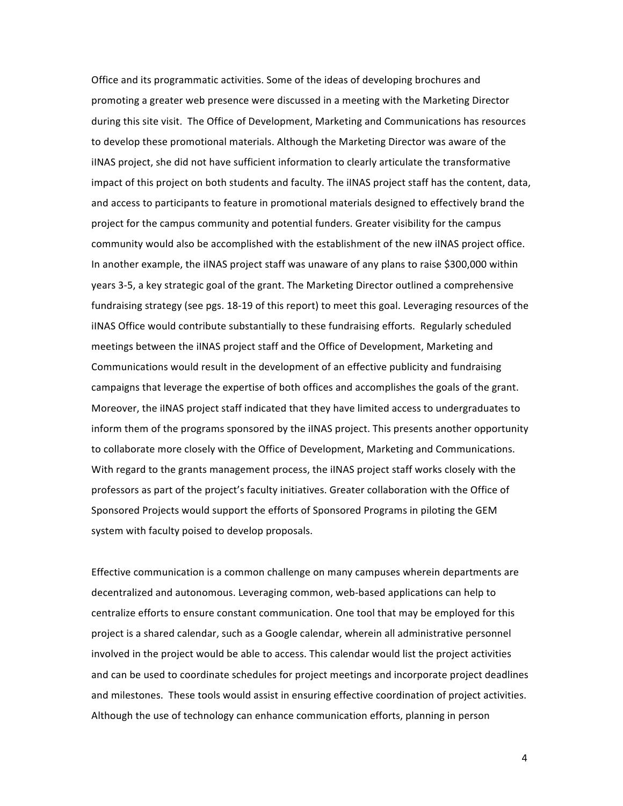Office and its programmatic activities. Some of the ideas of developing brochures and promoting a greater web presence were discussed in a meeting with the Marketing Director during this site visit. The Office of Development, Marketing and Communications has resources to develop these promotional materials. Although the Marketing Director was aware of the iINAS project, she did not have sufficient information to clearly articulate the transformative impact of this project on both students and faculty. The iINAS project staff has the content, data, and access to participants to feature in promotional materials designed to effectively brand the project for the campus community and potential funders. Greater visibility for the campus community would also be accomplished with the establishment of the new iINAS project office. In another example, the iINAS project staff was unaware of any plans to raise \$300,000 within years 3-5, a key strategic goal of the grant. The Marketing Director outlined a comprehensive fundraising strategy (see pgs. 18-19 of this report) to meet this goal. Leveraging resources of the iINAS Office would contribute substantially to these fundraising efforts. Regularly scheduled meetings between the iINAS project staff and the Office of Development, Marketing and Communications would result in the development of an effective publicity and fundraising campaigns that leverage the expertise of both offices and accomplishes the goals of the grant. Moreover, the iINAS project staff indicated that they have limited access to undergraduates to inform them of the programs sponsored by the iINAS project. This presents another opportunity to collaborate more closely with the Office of Development, Marketing and Communications. With regard to the grants management process, the iINAS project staff works closely with the professors as part of the project's faculty initiatives. Greater collaboration with the Office of Sponsored Projects would support the efforts of Sponsored Programs in piloting the GEM system with faculty poised to develop proposals.

Effective communication is a common challenge on many campuses wherein departments are decentralized and autonomous. Leveraging common, web-based applications can help to centralize efforts to ensure constant communication. One tool that may be employed for this project is a shared calendar, such as a Google calendar, wherein all administrative personnel involved in the project would be able to access. This calendar would list the project activities and can be used to coordinate schedules for project meetings and incorporate project deadlines and milestones. These tools would assist in ensuring effective coordination of project activities. Although the use of technology can enhance communication efforts, planning in person

4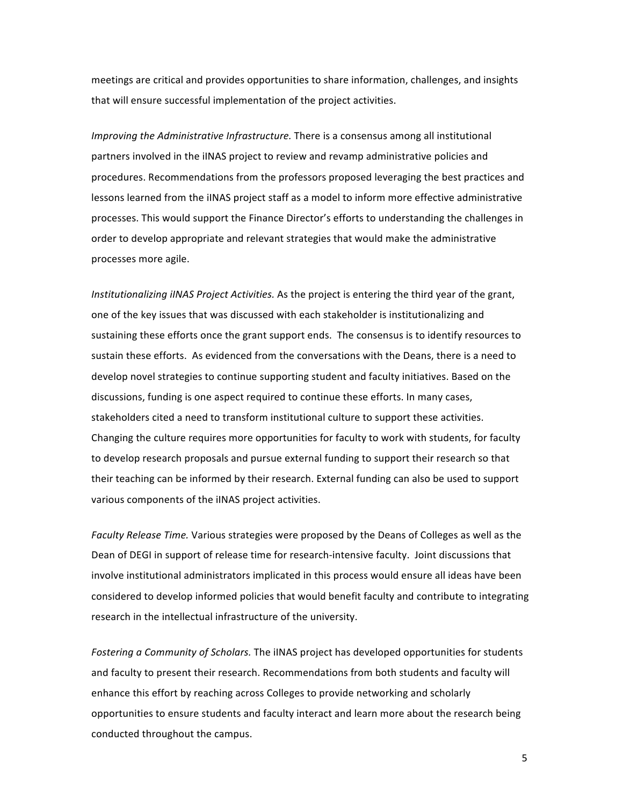meetings are critical and provides opportunities to share information, challenges, and insights that will ensure successful implementation of the project activities.

*Improving the Administrative Infrastructure.* There is a consensus among all institutional partners involved in the iINAS project to review and revamp administrative policies and procedures. Recommendations from the professors proposed leveraging the best practices and lessons learned from the iINAS project staff as a model to inform more effective administrative processes. This would support the Finance Director's efforts to understanding the challenges in order to develop appropriate and relevant strategies that would make the administrative processes more agile.

*Institutionalizing iINAS Project Activities.* As the project is entering the third year of the grant, one of the key issues that was discussed with each stakeholder is institutionalizing and sustaining these efforts once the grant support ends. The consensus is to identify resources to sustain these efforts. As evidenced from the conversations with the Deans, there is a need to develop novel strategies to continue supporting student and faculty initiatives. Based on the discussions, funding is one aspect required to continue these efforts. In many cases, stakeholders cited a need to transform institutional culture to support these activities. Changing the culture requires more opportunities for faculty to work with students, for faculty to develop research proposals and pursue external funding to support their research so that their teaching can be informed by their research. External funding can also be used to support various components of the iINAS project activities.

Faculty Release Time. Various strategies were proposed by the Deans of Colleges as well as the Dean of DEGI in support of release time for research-intensive faculty. Joint discussions that involve institutional administrators implicated in this process would ensure all ideas have been considered to develop informed policies that would benefit faculty and contribute to integrating research in the intellectual infrastructure of the university.

Fostering a Community of Scholars. The iINAS project has developed opportunities for students and faculty to present their research. Recommendations from both students and faculty will enhance this effort by reaching across Colleges to provide networking and scholarly opportunities to ensure students and faculty interact and learn more about the research being conducted throughout the campus.

5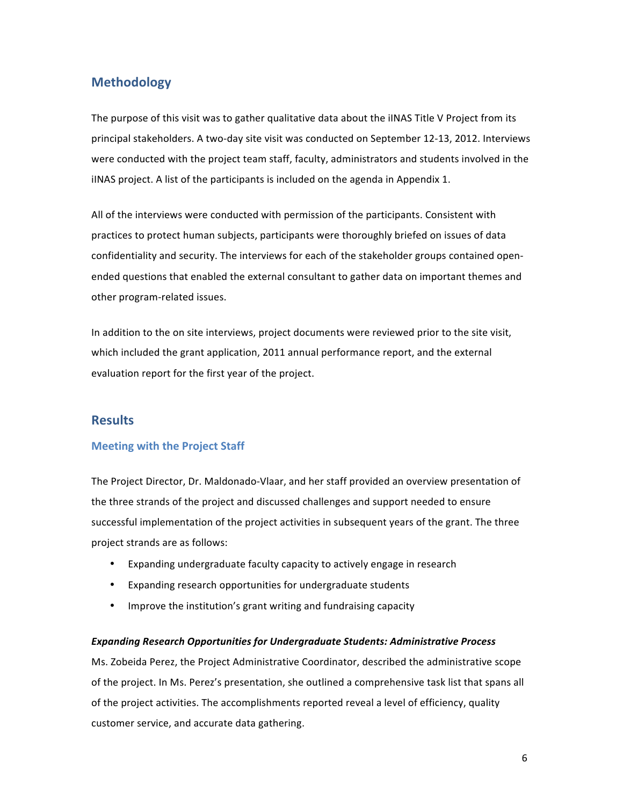## **Methodology**

The purpose of this visit was to gather qualitative data about the iINAS Title V Project from its principal stakeholders. A two-day site visit was conducted on September 12-13, 2012. Interviews were conducted with the project team staff, faculty, administrators and students involved in the iINAS project. A list of the participants is included on the agenda in Appendix 1.

All of the interviews were conducted with permission of the participants. Consistent with practices to protect human subjects, participants were thoroughly briefed on issues of data confidentiality and security. The interviews for each of the stakeholder groups contained openended questions that enabled the external consultant to gather data on important themes and other program-related issues.

In addition to the on site interviews, project documents were reviewed prior to the site visit, which included the grant application, 2011 annual performance report, and the external evaluation report for the first year of the project.

## **Results**

## **Meeting with the Project Staff**

The Project Director, Dr. Maldonado-Vlaar, and her staff provided an overview presentation of the three strands of the project and discussed challenges and support needed to ensure successful implementation of the project activities in subsequent years of the grant. The three project strands are as follows:

- Expanding undergraduate faculty capacity to actively engage in research
- Expanding research opportunities for undergraduate students
- Improve the institution's grant writing and fundraising capacity

#### *Expanding Research Opportunities for Undergraduate Students: Administrative Process*

Ms. Zobeida Perez, the Project Administrative Coordinator, described the administrative scope of the project. In Ms. Perez's presentation, she outlined a comprehensive task list that spans all of the project activities. The accomplishments reported reveal a level of efficiency, quality customer service, and accurate data gathering.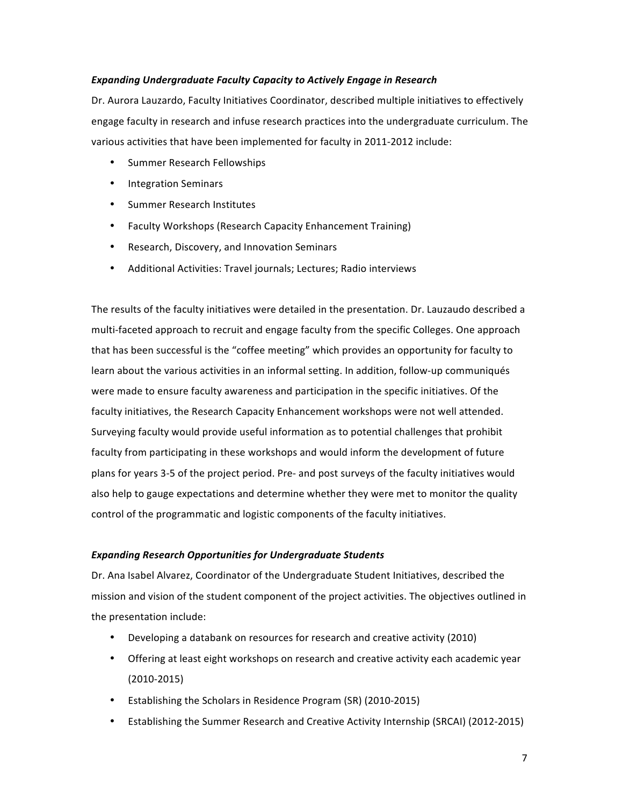## **Expanding Undergraduate Faculty Capacity to Actively Engage in Research**

Dr. Aurora Lauzardo, Faculty Initiatives Coordinator, described multiple initiatives to effectively engage faculty in research and infuse research practices into the undergraduate curriculum. The various activities that have been implemented for faculty in 2011-2012 include:

- Summer Research Fellowships
- Integration Seminars
- Summer Research Institutes
- Faculty Workshops (Research Capacity Enhancement Training)
- Research, Discovery, and Innovation Seminars
- Additional Activities: Travel journals; Lectures; Radio interviews

The results of the faculty initiatives were detailed in the presentation. Dr. Lauzaudo described a multi-faceted approach to recruit and engage faculty from the specific Colleges. One approach that has been successful is the "coffee meeting" which provides an opportunity for faculty to learn about the various activities in an informal setting. In addition, follow-up communiqués were made to ensure faculty awareness and participation in the specific initiatives. Of the faculty initiatives, the Research Capacity Enhancement workshops were not well attended. Surveying faculty would provide useful information as to potential challenges that prohibit faculty from participating in these workshops and would inform the development of future plans for years 3-5 of the project period. Pre- and post surveys of the faculty initiatives would also help to gauge expectations and determine whether they were met to monitor the quality control of the programmatic and logistic components of the faculty initiatives.

#### *Expanding Research Opportunities for Undergraduate Students*

Dr. Ana Isabel Alvarez, Coordinator of the Undergraduate Student Initiatives, described the mission and vision of the student component of the project activities. The objectives outlined in the presentation include:

- Developing a databank on resources for research and creative activity (2010)
- Offering at least eight workshops on research and creative activity each academic year (2010-2015)
- Establishing the Scholars in Residence Program (SR) (2010-2015)
- Establishing the Summer Research and Creative Activity Internship (SRCAI) (2012-2015)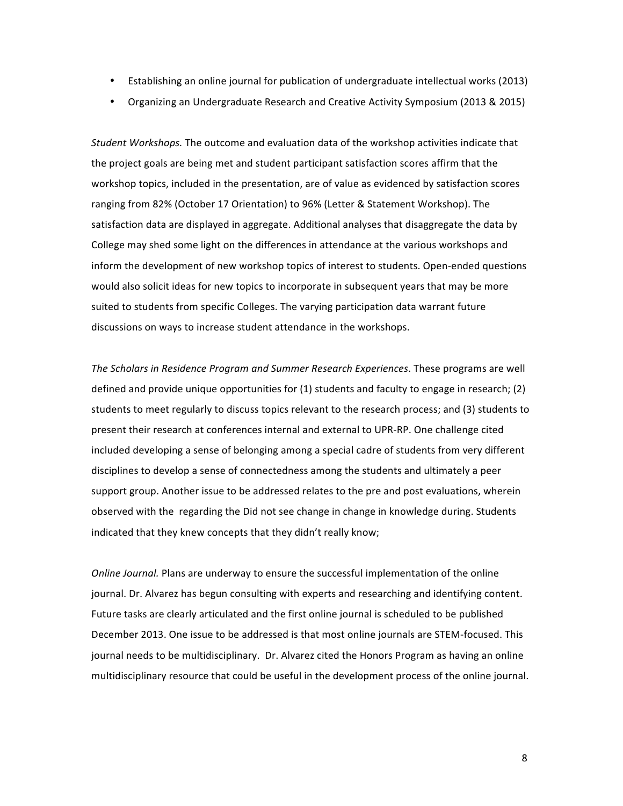- Establishing an online journal for publication of undergraduate intellectual works (2013)
- Organizing an Undergraduate Research and Creative Activity Symposium (2013 & 2015)

*Student Workshops.* The outcome and evaluation data of the workshop activities indicate that the project goals are being met and student participant satisfaction scores affirm that the workshop topics, included in the presentation, are of value as evidenced by satisfaction scores ranging from 82% (October 17 Orientation) to 96% (Letter & Statement Workshop). The satisfaction data are displayed in aggregate. Additional analyses that disaggregate the data by College may shed some light on the differences in attendance at the various workshops and inform the development of new workshop topics of interest to students. Open-ended questions would also solicit ideas for new topics to incorporate in subsequent years that may be more suited to students from specific Colleges. The varying participation data warrant future discussions on ways to increase student attendance in the workshops.

The Scholars in Residence Program and Summer Research Experiences. These programs are well defined and provide unique opportunities for  $(1)$  students and faculty to engage in research;  $(2)$ students to meet regularly to discuss topics relevant to the research process; and (3) students to present their research at conferences internal and external to UPR-RP. One challenge cited included developing a sense of belonging among a special cadre of students from very different disciplines to develop a sense of connectedness among the students and ultimately a peer support group. Another issue to be addressed relates to the pre and post evaluations, wherein observed with the regarding the Did not see change in change in knowledge during. Students indicated that they knew concepts that they didn't really know;

*Online Journal.* Plans are underway to ensure the successful implementation of the online journal. Dr. Alvarez has begun consulting with experts and researching and identifying content. Future tasks are clearly articulated and the first online journal is scheduled to be published December 2013. One issue to be addressed is that most online journals are STEM-focused. This journal needs to be multidisciplinary. Dr. Alvarez cited the Honors Program as having an online multidisciplinary resource that could be useful in the development process of the online journal.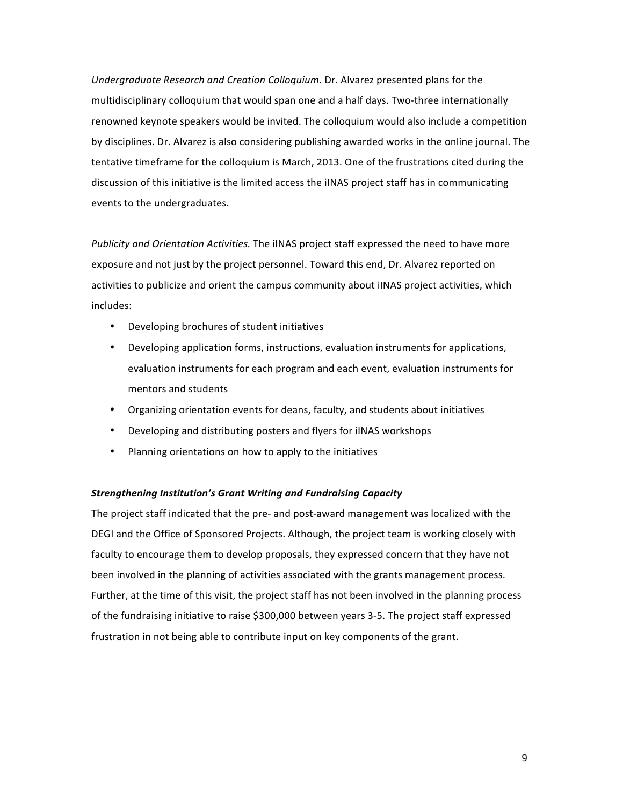*Undergraduate Research and Creation Colloquium.* Dr. Alvarez presented plans for the multidisciplinary colloquium that would span one and a half days. Two-three internationally renowned keynote speakers would be invited. The colloquium would also include a competition by disciplines. Dr. Alvarez is also considering publishing awarded works in the online journal. The tentative timeframe for the colloquium is March, 2013. One of the frustrations cited during the discussion of this initiative is the limited access the iINAS project staff has in communicating events to the undergraduates.

*Publicity and Orientation Activities.* The iINAS project staff expressed the need to have more exposure and not just by the project personnel. Toward this end, Dr. Alvarez reported on activities to publicize and orient the campus community about iINAS project activities, which includes: 

- Developing brochures of student initiatives
- Developing application forms, instructions, evaluation instruments for applications, evaluation instruments for each program and each event, evaluation instruments for mentors and students
- Organizing orientation events for deans, faculty, and students about initiatives
- Developing and distributing posters and flyers for iINAS workshops
- Planning orientations on how to apply to the initiatives

#### **Strengthening Institution's Grant Writing and Fundraising Capacity**

The project staff indicated that the pre- and post-award management was localized with the DEGI and the Office of Sponsored Projects. Although, the project team is working closely with faculty to encourage them to develop proposals, they expressed concern that they have not been involved in the planning of activities associated with the grants management process. Further, at the time of this visit, the project staff has not been involved in the planning process of the fundraising initiative to raise \$300,000 between years 3-5. The project staff expressed frustration in not being able to contribute input on key components of the grant.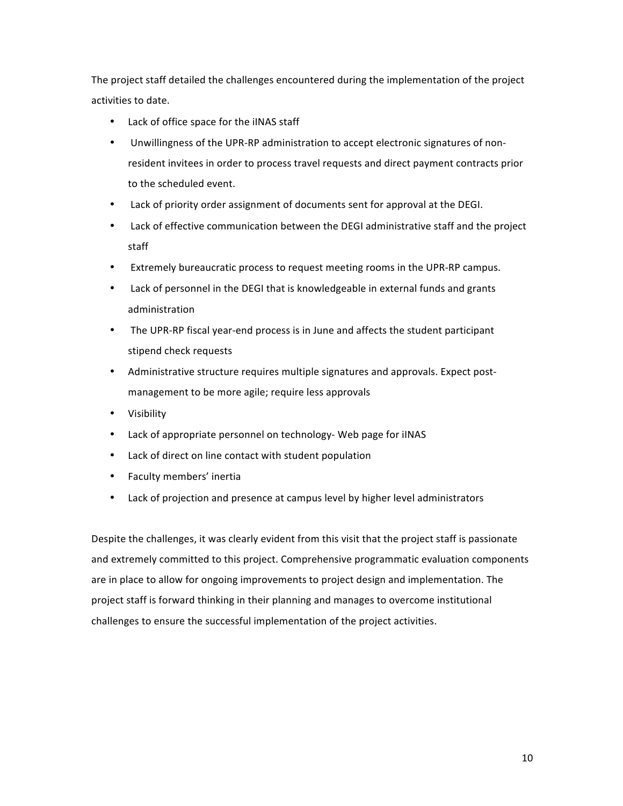The project staff detailed the challenges encountered during the implementation of the project activities to date.

- Lack of office space for the iINAS staff
- Unwillingness of the UPR-RP administration to accept electronic signatures of nonresident invitees in order to process travel requests and direct payment contracts prior to the scheduled event.
- Lack of priority order assignment of documents sent for approval at the DEGI.
- Lack of effective communication between the DEGI administrative staff and the project staff
- Extremely bureaucratic process to request meeting rooms in the UPR-RP campus.
- Lack of personnel in the DEGI that is knowledgeable in external funds and grants administration
- The UPR-RP fiscal year-end process is in June and affects the student participant stipend check requests
- Administrative structure requires multiple signatures and approvals. Expect postmanagement to be more agile; require less approvals
- Visibility
- Lack of appropriate personnel on technology- Web page for iINAS
- Lack of direct on line contact with student population
- Faculty members' inertia
- Lack of projection and presence at campus level by higher level administrators

Despite the challenges, it was clearly evident from this visit that the project staff is passionate and extremely committed to this project. Comprehensive programmatic evaluation components are in place to allow for ongoing improvements to project design and implementation. The project staff is forward thinking in their planning and manages to overcome institutional challenges to ensure the successful implementation of the project activities.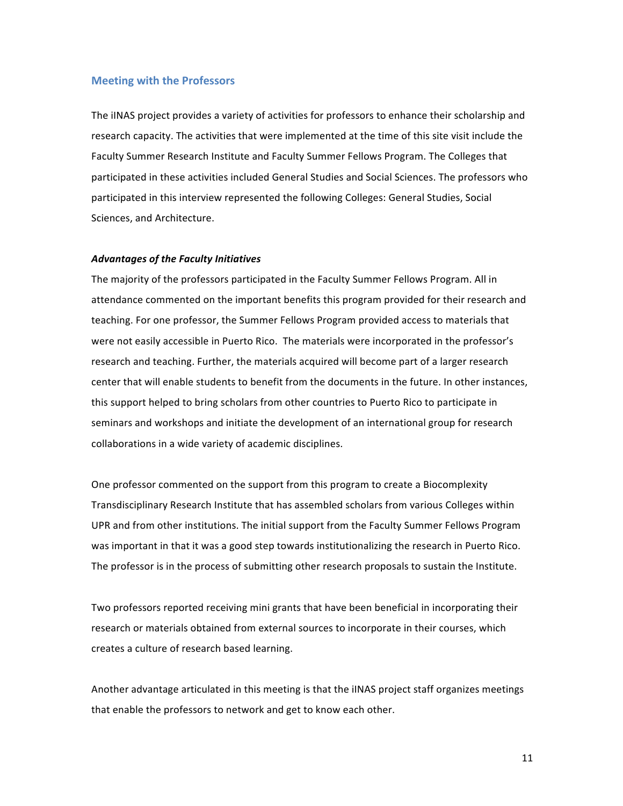#### **Meeting with the Professors**

The iINAS project provides a variety of activities for professors to enhance their scholarship and research capacity. The activities that were implemented at the time of this site visit include the Faculty Summer Research Institute and Faculty Summer Fellows Program. The Colleges that participated in these activities included General Studies and Social Sciences. The professors who participated in this interview represented the following Colleges: General Studies, Social Sciences, and Architecture.

#### *Advantages of the Faculty Initiatives*

The majority of the professors participated in the Faculty Summer Fellows Program. All in attendance commented on the important benefits this program provided for their research and teaching. For one professor, the Summer Fellows Program provided access to materials that were not easily accessible in Puerto Rico. The materials were incorporated in the professor's research and teaching. Further, the materials acquired will become part of a larger research center that will enable students to benefit from the documents in the future. In other instances, this support helped to bring scholars from other countries to Puerto Rico to participate in seminars and workshops and initiate the development of an international group for research collaborations in a wide variety of academic disciplines.

One professor commented on the support from this program to create a Biocomplexity Transdisciplinary Research Institute that has assembled scholars from various Colleges within UPR and from other institutions. The initial support from the Faculty Summer Fellows Program was important in that it was a good step towards institutionalizing the research in Puerto Rico. The professor is in the process of submitting other research proposals to sustain the Institute.

Two professors reported receiving mini grants that have been beneficial in incorporating their research or materials obtained from external sources to incorporate in their courses, which creates a culture of research based learning.

Another advantage articulated in this meeting is that the iINAS project staff organizes meetings that enable the professors to network and get to know each other.

11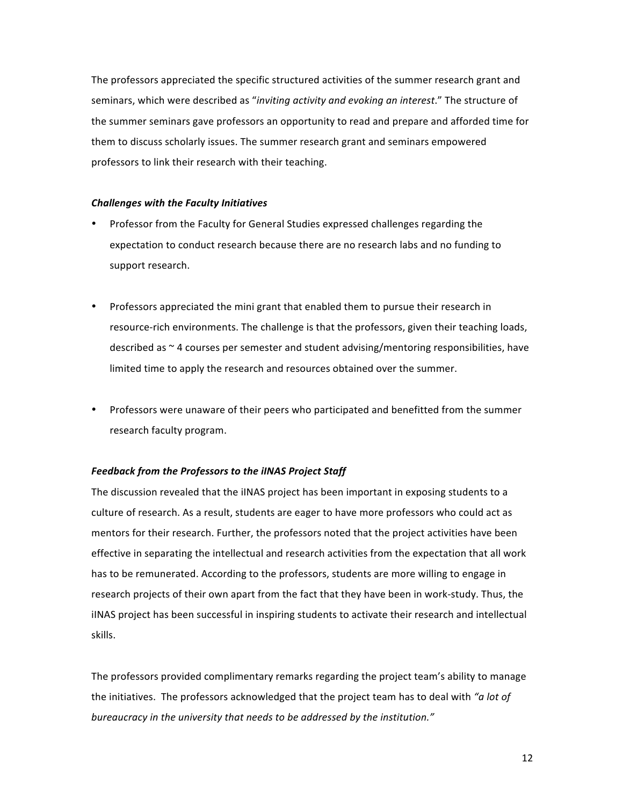The professors appreciated the specific structured activities of the summer research grant and seminars, which were described as "*inviting activity and evoking an interest*." The structure of the summer seminars gave professors an opportunity to read and prepare and afforded time for them to discuss scholarly issues. The summer research grant and seminars empowered professors to link their research with their teaching.

#### *Challenges with the Faculty Initiatives*

- Professor from the Faculty for General Studies expressed challenges regarding the expectation to conduct research because there are no research labs and no funding to support research.
- Professors appreciated the mini grant that enabled them to pursue their research in resource-rich environments. The challenge is that the professors, given their teaching loads, described as  $\sim$  4 courses per semester and student advising/mentoring responsibilities, have limited time to apply the research and resources obtained over the summer.
- Professors were unaware of their peers who participated and benefitted from the summer research faculty program.

#### **Feedback from the Professors to the iINAS Project Staff**

The discussion revealed that the iINAS project has been important in exposing students to a culture of research. As a result, students are eager to have more professors who could act as mentors for their research. Further, the professors noted that the project activities have been effective in separating the intellectual and research activities from the expectation that all work has to be remunerated. According to the professors, students are more willing to engage in research projects of their own apart from the fact that they have been in work-study. Thus, the iINAS project has been successful in inspiring students to activate their research and intellectual skills.

The professors provided complimentary remarks regarding the project team's ability to manage the initiatives. The professors acknowledged that the project team has to deal with "a lot of bureaucracy in the university that needs to be addressed by the institution."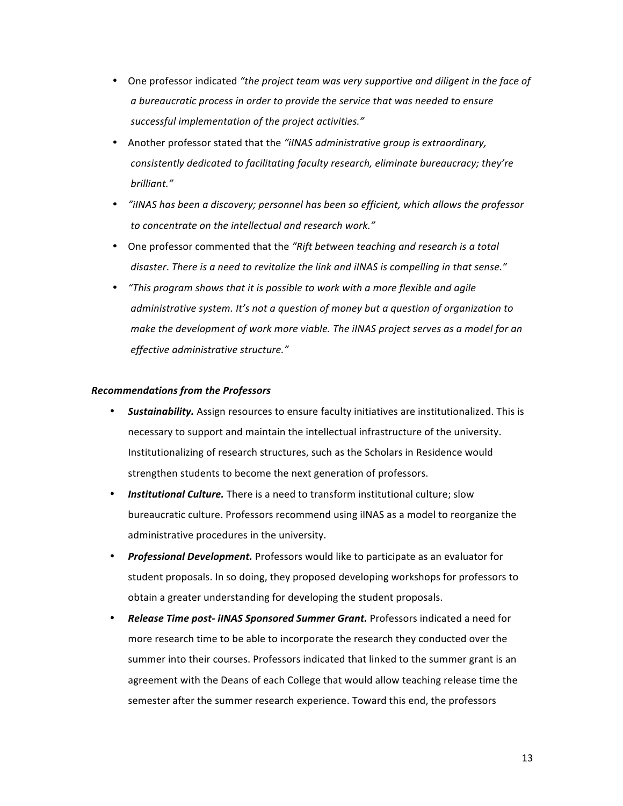- One professor indicated "the project team was very supportive and diligent in the face of a bureaucratic process in order to provide the service that was needed to ensure successful implementation of the project activities."
- Another professor stated that the "iINAS administrative group is extraordinary, *consistently dedicated to facilitating faculty research, eliminate bureaucracy; they're brilliant."*
- *"iINAS* has been a discovery; personnel has been so efficient, which allows the professor to concentrate on the intellectual and research work."
- One professor commented that the "Rift between teaching and research is a total disaster. There is a need to revitalize the link and iINAS is compelling in that sense."
- *"This program shows that it is possible to work with a more flexible and agile administrative system.* It's not a question of money but a question of organization to *make the development of work more viable. The iINAS project serves as a model for an effective administrative structure."*

#### *Recommendations from the Professors*

- **Sustainability.** Assign resources to ensure faculty initiatives are institutionalized. This is necessary to support and maintain the intellectual infrastructure of the university. Institutionalizing of research structures, such as the Scholars in Residence would strengthen students to become the next generation of professors.
- **Institutional Culture.** There is a need to transform institutional culture: slow bureaucratic culture. Professors recommend using iINAS as a model to reorganize the administrative procedures in the university.
- **Professional Development.** Professors would like to participate as an evaluator for student proposals. In so doing, they proposed developing workshops for professors to obtain a greater understanding for developing the student proposals.
- *Release Time post- iINAS Sponsored Summer Grant.* Professors indicated a need for more research time to be able to incorporate the research they conducted over the summer into their courses. Professors indicated that linked to the summer grant is an agreement with the Deans of each College that would allow teaching release time the semester after the summer research experience. Toward this end, the professors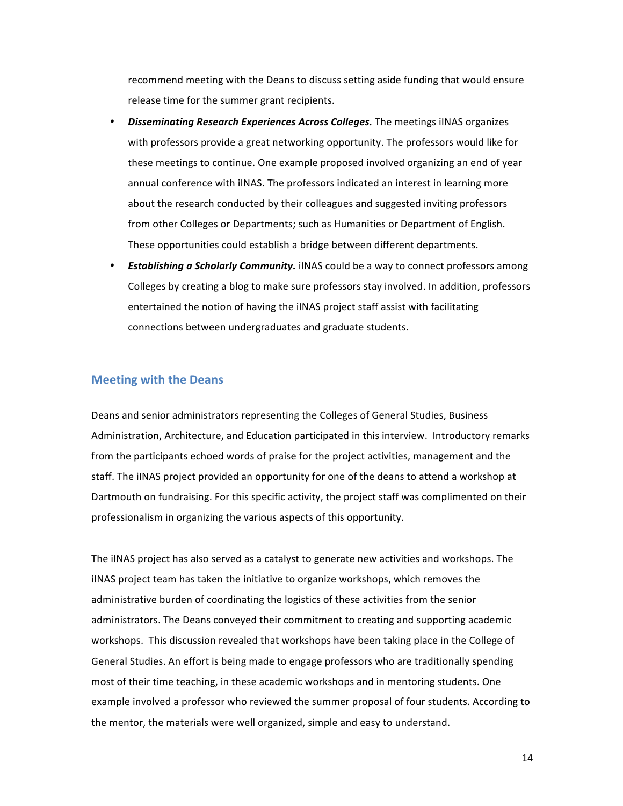recommend meeting with the Deans to discuss setting aside funding that would ensure release time for the summer grant recipients.

- **Disseminating Research Experiences Across Colleges.** The meetings iINAS organizes with professors provide a great networking opportunity. The professors would like for these meetings to continue. One example proposed involved organizing an end of year annual conference with iINAS. The professors indicated an interest in learning more about the research conducted by their colleagues and suggested inviting professors from other Colleges or Departments; such as Humanities or Department of English. These opportunities could establish a bridge between different departments.
- **Establishing a Scholarly Community.** iINAS could be a way to connect professors among Colleges by creating a blog to make sure professors stay involved. In addition, professors entertained the notion of having the iINAS project staff assist with facilitating connections between undergraduates and graduate students.

## **Meeting with the Deans**

Deans and senior administrators representing the Colleges of General Studies, Business Administration, Architecture, and Education participated in this interview. Introductory remarks from the participants echoed words of praise for the project activities, management and the staff. The iINAS project provided an opportunity for one of the deans to attend a workshop at Dartmouth on fundraising. For this specific activity, the project staff was complimented on their professionalism in organizing the various aspects of this opportunity.

The iINAS project has also served as a catalyst to generate new activities and workshops. The iINAS project team has taken the initiative to organize workshops, which removes the administrative burden of coordinating the logistics of these activities from the senior administrators. The Deans conveyed their commitment to creating and supporting academic workshops. This discussion revealed that workshops have been taking place in the College of General Studies. An effort is being made to engage professors who are traditionally spending most of their time teaching, in these academic workshops and in mentoring students. One example involved a professor who reviewed the summer proposal of four students. According to the mentor, the materials were well organized, simple and easy to understand.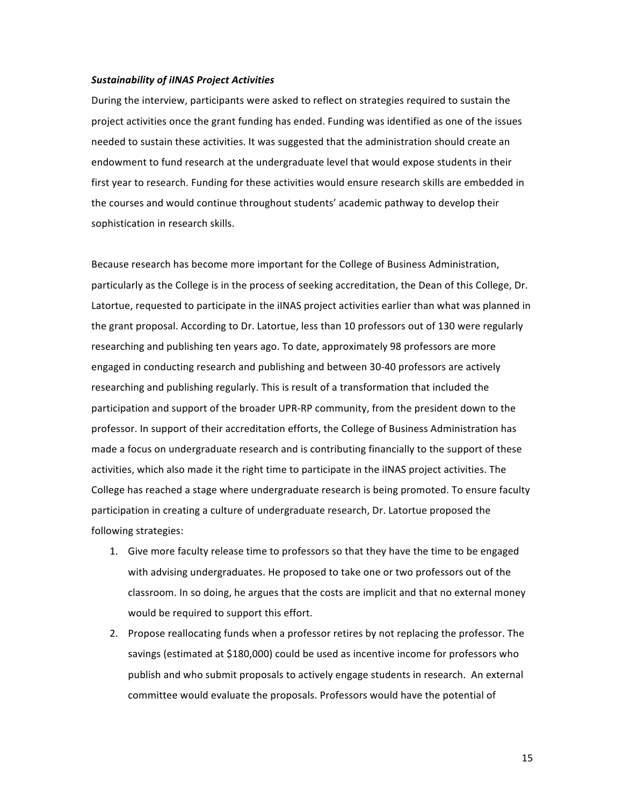#### *Sustainability of iINAS Project Activities*

During the interview, participants were asked to reflect on strategies required to sustain the project activities once the grant funding has ended. Funding was identified as one of the issues needed to sustain these activities. It was suggested that the administration should create an endowment to fund research at the undergraduate level that would expose students in their first year to research. Funding for these activities would ensure research skills are embedded in the courses and would continue throughout students' academic pathway to develop their sophistication in research skills.

Because research has become more important for the College of Business Administration, particularly as the College is in the process of seeking accreditation, the Dean of this College, Dr. Latortue, requested to participate in the iINAS project activities earlier than what was planned in the grant proposal. According to Dr. Latortue, less than 10 professors out of 130 were regularly researching and publishing ten years ago. To date, approximately 98 professors are more engaged in conducting research and publishing and between 30-40 professors are actively researching and publishing regularly. This is result of a transformation that included the participation and support of the broader UPR-RP community, from the president down to the professor. In support of their accreditation efforts, the College of Business Administration has made a focus on undergraduate research and is contributing financially to the support of these activities, which also made it the right time to participate in the iINAS project activities. The College has reached a stage where undergraduate research is being promoted. To ensure faculty participation in creating a culture of undergraduate research, Dr. Latortue proposed the following strategies:

- 1. Give more faculty release time to professors so that they have the time to be engaged with advising undergraduates. He proposed to take one or two professors out of the classroom. In so doing, he argues that the costs are implicit and that no external money would be required to support this effort.
- 2. Propose reallocating funds when a professor retires by not replacing the professor. The savings (estimated at \$180,000) could be used as incentive income for professors who publish and who submit proposals to actively engage students in research. An external committee would evaluate the proposals. Professors would have the potential of

15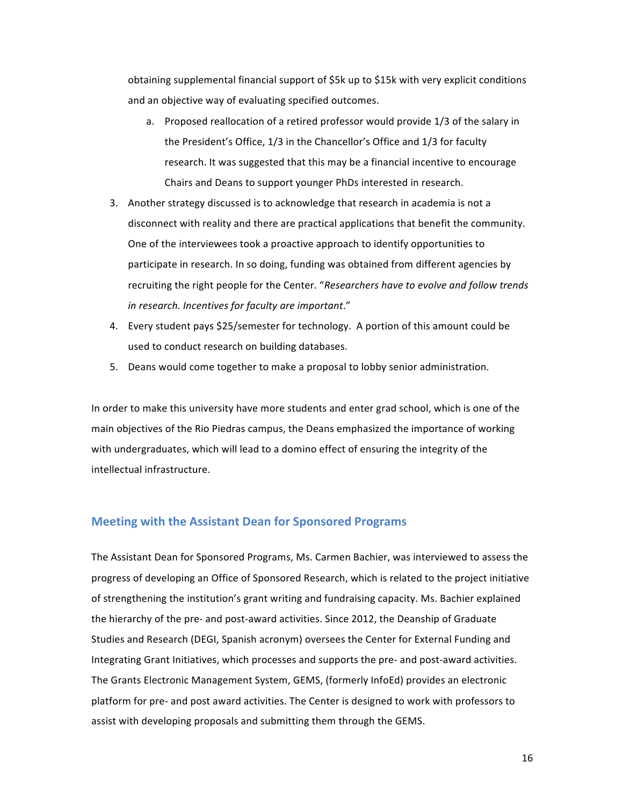obtaining supplemental financial support of  $$5k$  up to  $$15k$  with very explicit conditions and an objective way of evaluating specified outcomes.

- a. Proposed reallocation of a retired professor would provide 1/3 of the salary in the President's Office, 1/3 in the Chancellor's Office and 1/3 for faculty research. It was suggested that this may be a financial incentive to encourage Chairs and Deans to support younger PhDs interested in research.
- 3. Another strategy discussed is to acknowledge that research in academia is not a disconnect with reality and there are practical applications that benefit the community. One of the interviewees took a proactive approach to identify opportunities to participate in research. In so doing, funding was obtained from different agencies by recruiting the right people for the Center. "Researchers have to evolve and follow trends *in research. Incentives for faculty are important*."
- 4. Every student pays \$25/semester for technology. A portion of this amount could be used to conduct research on building databases.
- 5. Deans would come together to make a proposal to lobby senior administration.

In order to make this university have more students and enter grad school, which is one of the main objectives of the Rio Piedras campus, the Deans emphasized the importance of working with undergraduates, which will lead to a domino effect of ensuring the integrity of the intellectual infrastructure.

#### **Meeting with the Assistant Dean for Sponsored Programs**

The Assistant Dean for Sponsored Programs, Ms. Carmen Bachier, was interviewed to assess the progress of developing an Office of Sponsored Research, which is related to the project initiative of strengthening the institution's grant writing and fundraising capacity. Ms. Bachier explained the hierarchy of the pre- and post-award activities. Since 2012, the Deanship of Graduate Studies and Research (DEGI, Spanish acronym) oversees the Center for External Funding and Integrating Grant Initiatives, which processes and supports the pre- and post-award activities. The Grants Electronic Management System, GEMS, (formerly InfoEd) provides an electronic platform for pre- and post award activities. The Center is designed to work with professors to assist with developing proposals and submitting them through the GEMS.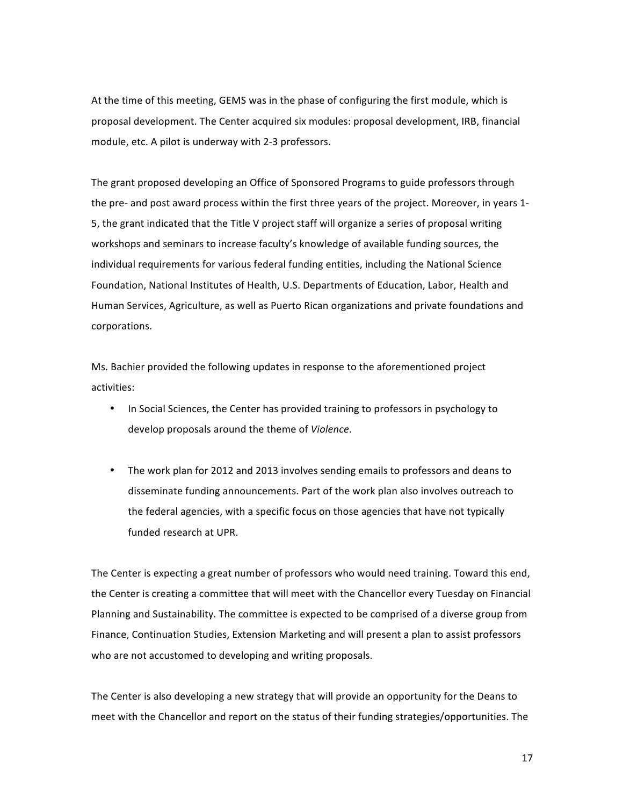At the time of this meeting, GEMS was in the phase of configuring the first module, which is proposal development. The Center acquired six modules: proposal development, IRB, financial module, etc. A pilot is underway with 2-3 professors.

The grant proposed developing an Office of Sponsored Programs to guide professors through the pre- and post award process within the first three years of the project. Moreover, in years 1-5, the grant indicated that the Title V project staff will organize a series of proposal writing workshops and seminars to increase faculty's knowledge of available funding sources, the individual requirements for various federal funding entities, including the National Science Foundation, National Institutes of Health, U.S. Departments of Education, Labor, Health and Human Services, Agriculture, as well as Puerto Rican organizations and private foundations and corporations.

Ms. Bachier provided the following updates in response to the aforementioned project activities:

- In Social Sciences, the Center has provided training to professors in psychology to develop proposals around the theme of *Violence*.
- The work plan for 2012 and 2013 involves sending emails to professors and deans to disseminate funding announcements. Part of the work plan also involves outreach to the federal agencies, with a specific focus on those agencies that have not typically funded research at UPR.

The Center is expecting a great number of professors who would need training. Toward this end, the Center is creating a committee that will meet with the Chancellor every Tuesday on Financial Planning and Sustainability. The committee is expected to be comprised of a diverse group from Finance, Continuation Studies, Extension Marketing and will present a plan to assist professors who are not accustomed to developing and writing proposals.

The Center is also developing a new strategy that will provide an opportunity for the Deans to meet with the Chancellor and report on the status of their funding strategies/opportunities. The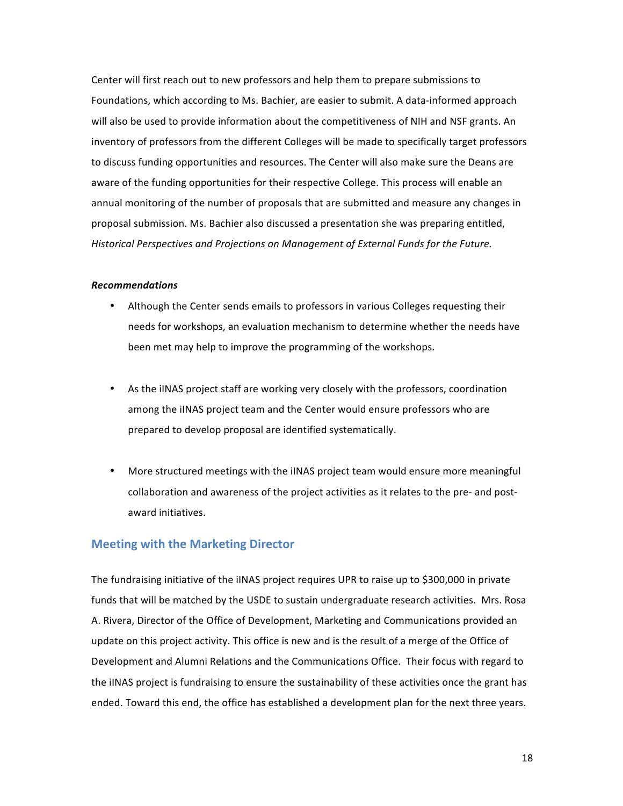Center will first reach out to new professors and help them to prepare submissions to Foundations, which according to Ms. Bachier, are easier to submit. A data-informed approach will also be used to provide information about the competitiveness of NIH and NSF grants. An inventory of professors from the different Colleges will be made to specifically target professors to discuss funding opportunities and resources. The Center will also make sure the Deans are aware of the funding opportunities for their respective College. This process will enable an annual monitoring of the number of proposals that are submitted and measure any changes in proposal submission. Ms. Bachier also discussed a presentation she was preparing entitled, *Historical Perspectives and Projections on Management of External Funds for the Future.* 

#### *Recommendations*

- Although the Center sends emails to professors in various Colleges requesting their needs for workshops, an evaluation mechanism to determine whether the needs have been met may help to improve the programming of the workshops.
- As the iINAS project staff are working very closely with the professors, coordination among the iINAS project team and the Center would ensure professors who are prepared to develop proposal are identified systematically.
- More structured meetings with the iINAS project team would ensure more meaningful collaboration and awareness of the project activities as it relates to the pre- and postaward initiatives.

## **Meeting with the Marketing Director**

The fundraising initiative of the iINAS project requires UPR to raise up to \$300,000 in private funds that will be matched by the USDE to sustain undergraduate research activities. Mrs. Rosa A. Rivera, Director of the Office of Development, Marketing and Communications provided an update on this project activity. This office is new and is the result of a merge of the Office of Development and Alumni Relations and the Communications Office. Their focus with regard to the iINAS project is fundraising to ensure the sustainability of these activities once the grant has ended. Toward this end, the office has established a development plan for the next three years.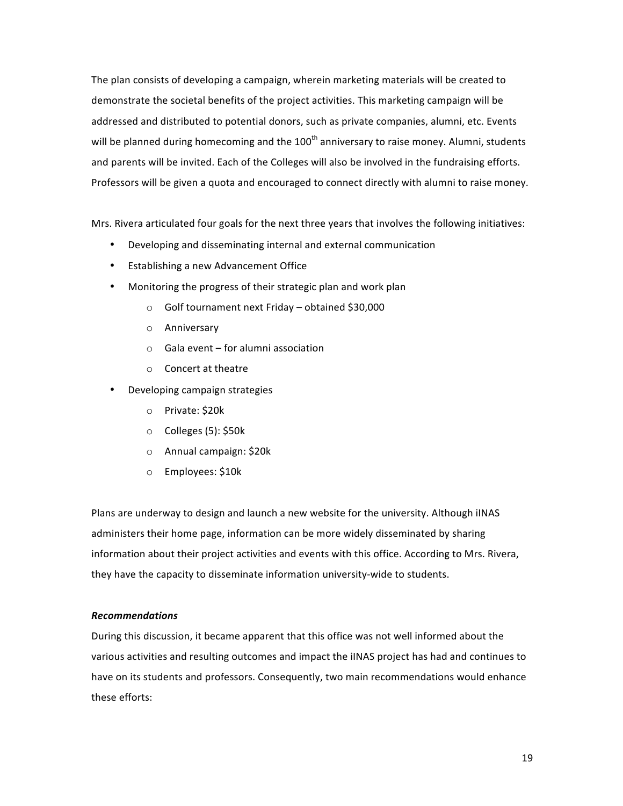The plan consists of developing a campaign, wherein marketing materials will be created to demonstrate the societal benefits of the project activities. This marketing campaign will be addressed and distributed to potential donors, such as private companies, alumni, etc. Events will be planned during homecoming and the  $100<sup>th</sup>$  anniversary to raise money. Alumni, students and parents will be invited. Each of the Colleges will also be involved in the fundraising efforts. Professors will be given a quota and encouraged to connect directly with alumni to raise money.

Mrs. Rivera articulated four goals for the next three years that involves the following initiatives:

- Developing and disseminating internal and external communication
- Establishing a new Advancement Office
- Monitoring the progress of their strategic plan and work plan
	- $\circ$  Golf tournament next Friday obtained \$30,000
	- o Anniversary
	- $\circ$  Gala event for alumni association
	- $\circ$  Concert at theatre
- Developing campaign strategies
	- o Private: \$20k
	- o Colleges (5): \$50k
	- o Annual campaign: \$20k
	- o Employees: \$10k

Plans are underway to design and launch a new website for the university. Although iINAS administers their home page, information can be more widely disseminated by sharing information about their project activities and events with this office. According to Mrs. Rivera, they have the capacity to disseminate information university-wide to students.

#### *Recommendations*

During this discussion, it became apparent that this office was not well informed about the various activities and resulting outcomes and impact the iINAS project has had and continues to have on its students and professors. Consequently, two main recommendations would enhance these efforts: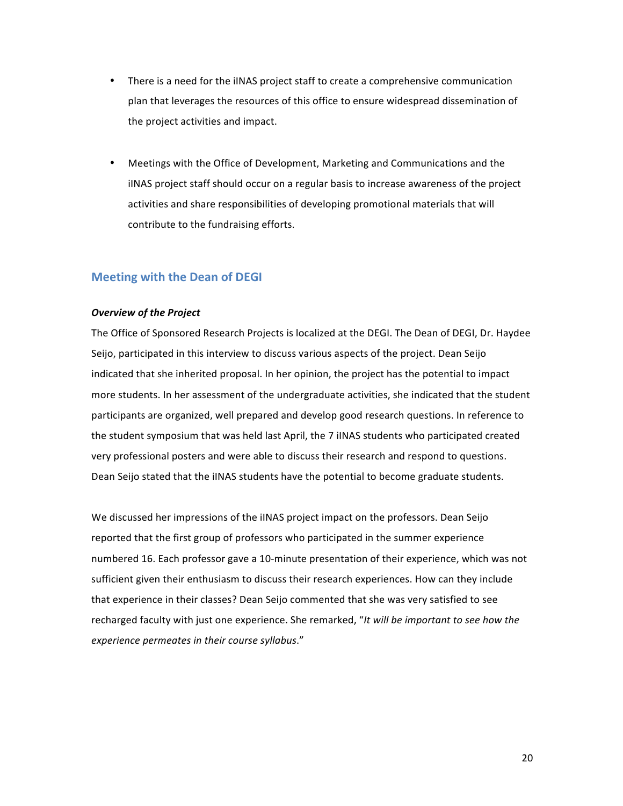- There is a need for the iINAS project staff to create a comprehensive communication plan that leverages the resources of this office to ensure widespread dissemination of the project activities and impact.
- Meetings with the Office of Development, Marketing and Communications and the iINAS project staff should occur on a regular basis to increase awareness of the project activities and share responsibilities of developing promotional materials that will contribute to the fundraising efforts.

## **Meeting with the Dean of DEGI**

#### **Overview of the Project**

The Office of Sponsored Research Projects is localized at the DEGI. The Dean of DEGI, Dr. Haydee Seijo, participated in this interview to discuss various aspects of the project. Dean Seijo indicated that she inherited proposal. In her opinion, the project has the potential to impact more students. In her assessment of the undergraduate activities, she indicated that the student participants are organized, well prepared and develop good research questions. In reference to the student symposium that was held last April, the 7 iINAS students who participated created very professional posters and were able to discuss their research and respond to questions. Dean Seijo stated that the iINAS students have the potential to become graduate students.

We discussed her impressions of the iINAS project impact on the professors. Dean Seijo reported that the first group of professors who participated in the summer experience numbered 16. Each professor gave a 10-minute presentation of their experience, which was not sufficient given their enthusiasm to discuss their research experiences. How can they include that experience in their classes? Dean Seijo commented that she was very satisfied to see recharged faculty with just one experience. She remarked, "It will be important to see how the *experience permeates in their course syllabus*."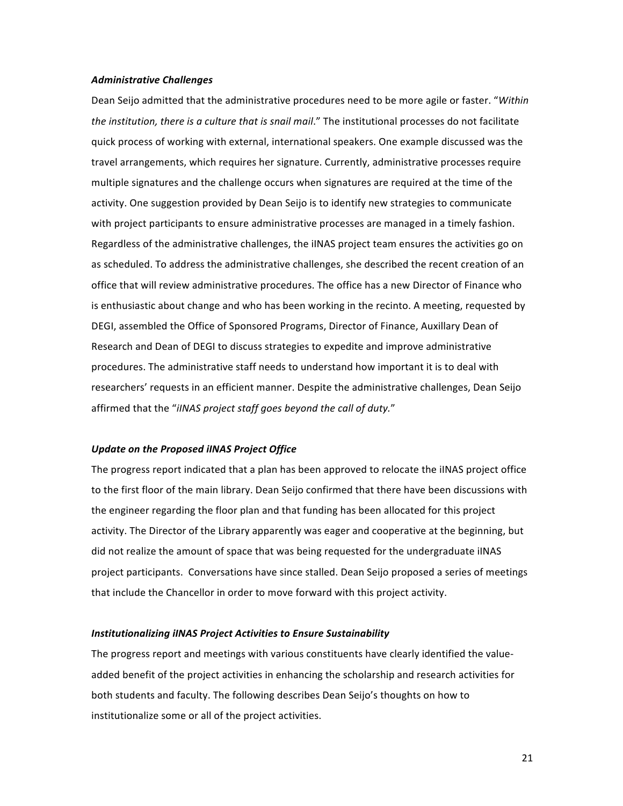#### *Administrative Challenges*

Dean Seijo admitted that the administrative procedures need to be more agile or faster. "Within the institution, there is a culture that is snail mail." The institutional processes do not facilitate quick process of working with external, international speakers. One example discussed was the travel arrangements, which requires her signature. Currently, administrative processes require multiple signatures and the challenge occurs when signatures are required at the time of the activity. One suggestion provided by Dean Seijo is to identify new strategies to communicate with project participants to ensure administrative processes are managed in a timely fashion. Regardless of the administrative challenges, the iINAS project team ensures the activities go on as scheduled. To address the administrative challenges, she described the recent creation of an office that will review administrative procedures. The office has a new Director of Finance who is enthusiastic about change and who has been working in the recinto. A meeting, requested by DEGI, assembled the Office of Sponsored Programs, Director of Finance, Auxillary Dean of Research and Dean of DEGI to discuss strategies to expedite and improve administrative procedures. The administrative staff needs to understand how important it is to deal with researchers' requests in an efficient manner. Despite the administrative challenges, Dean Seijo affirmed that the "*iINAS* project staff goes beyond the call of duty."

#### Update on the Proposed iINAS Project Office

The progress report indicated that a plan has been approved to relocate the iINAS project office to the first floor of the main library. Dean Seijo confirmed that there have been discussions with the engineer regarding the floor plan and that funding has been allocated for this project activity. The Director of the Library apparently was eager and cooperative at the beginning, but did not realize the amount of space that was being requested for the undergraduate iINAS project participants. Conversations have since stalled. Dean Seijo proposed a series of meetings that include the Chancellor in order to move forward with this project activity.

#### **Institutionalizing iINAS Project Activities to Ensure Sustainability**

The progress report and meetings with various constituents have clearly identified the valueadded benefit of the project activities in enhancing the scholarship and research activities for both students and faculty. The following describes Dean Seijo's thoughts on how to institutionalize some or all of the project activities.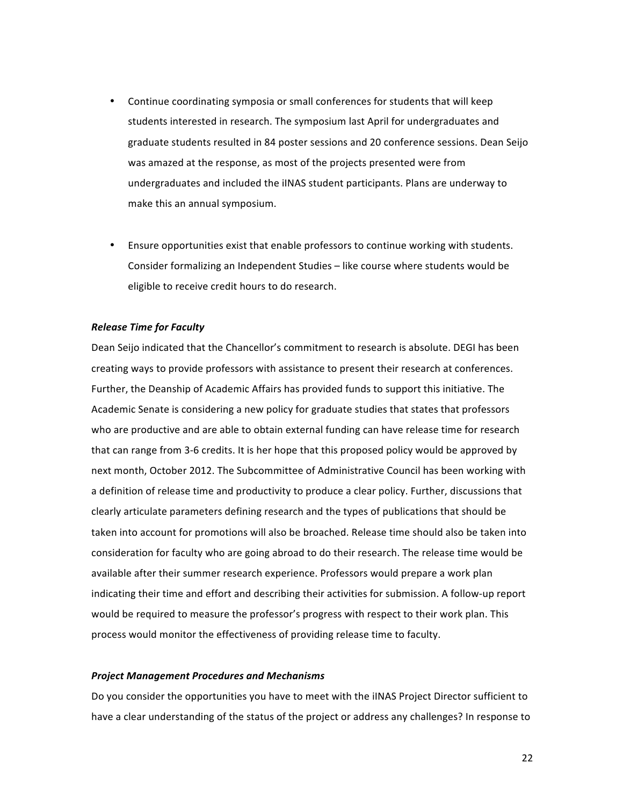- Continue coordinating symposia or small conferences for students that will keep students interested in research. The symposium last April for undergraduates and graduate students resulted in 84 poster sessions and 20 conference sessions. Dean Seijo was amazed at the response, as most of the projects presented were from undergraduates and included the iINAS student participants. Plans are underway to make this an annual symposium.
- Ensure opportunities exist that enable professors to continue working with students. Consider formalizing an Independent Studies – like course where students would be eligible to receive credit hours to do research.

#### *Release Time for Faculty*

Dean Seijo indicated that the Chancellor's commitment to research is absolute. DEGI has been creating ways to provide professors with assistance to present their research at conferences. Further, the Deanship of Academic Affairs has provided funds to support this initiative. The Academic Senate is considering a new policy for graduate studies that states that professors who are productive and are able to obtain external funding can have release time for research that can range from 3-6 credits. It is her hope that this proposed policy would be approved by next month, October 2012. The Subcommittee of Administrative Council has been working with a definition of release time and productivity to produce a clear policy. Further, discussions that clearly articulate parameters defining research and the types of publications that should be taken into account for promotions will also be broached. Release time should also be taken into consideration for faculty who are going abroad to do their research. The release time would be available after their summer research experience. Professors would prepare a work plan indicating their time and effort and describing their activities for submission. A follow-up report would be required to measure the professor's progress with respect to their work plan. This process would monitor the effectiveness of providing release time to faculty.

#### *Project Management Procedures and Mechanisms*

Do you consider the opportunities you have to meet with the iINAS Project Director sufficient to have a clear understanding of the status of the project or address any challenges? In response to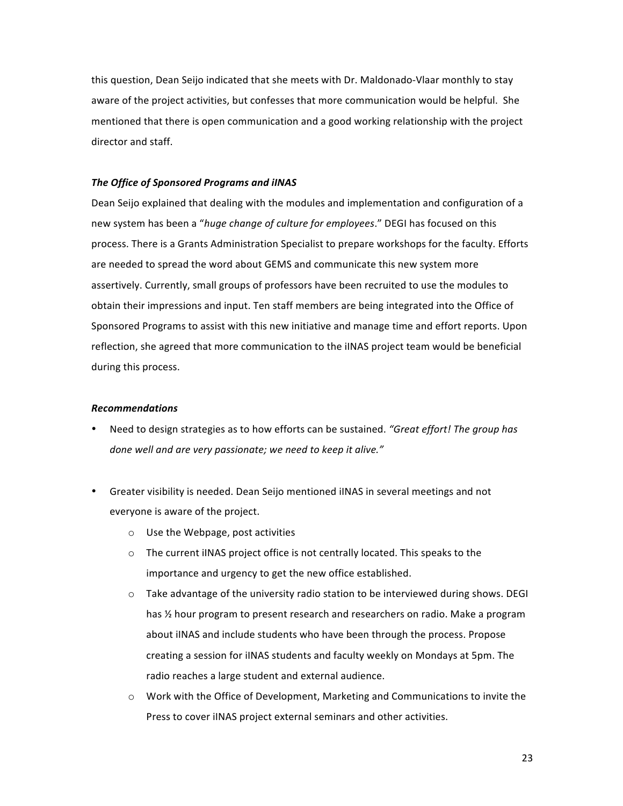this question, Dean Seijo indicated that she meets with Dr. Maldonado-Vlaar monthly to stay aware of the project activities, but confesses that more communication would be helpful. She mentioned that there is open communication and a good working relationship with the project director and staff.

#### **The Office of Sponsored Programs and iINAS**

Dean Seijo explained that dealing with the modules and implementation and configuration of a new system has been a "*huge change of culture for employees*." DEGI has focused on this process. There is a Grants Administration Specialist to prepare workshops for the faculty. Efforts are needed to spread the word about GEMS and communicate this new system more assertively. Currently, small groups of professors have been recruited to use the modules to obtain their impressions and input. Ten staff members are being integrated into the Office of Sponsored Programs to assist with this new initiative and manage time and effort reports. Upon reflection, she agreed that more communication to the iINAS project team would be beneficial during this process.

#### *Recommendations*

- Need to design strategies as to how efforts can be sustained. "Great effort! The group has *done* well and are very passionate; we need to keep it alive."
- Greater visibility is needed. Dean Seijo mentioned iINAS in several meetings and not everyone is aware of the project.
	- $\circ$  Use the Webpage, post activities
	- $\circ$  The current iINAS project office is not centrally located. This speaks to the importance and urgency to get the new office established.
	- $\circ$  Take advantage of the university radio station to be interviewed during shows. DEGI has  $\frac{1}{2}$  hour program to present research and researchers on radio. Make a program about iINAS and include students who have been through the process. Propose creating a session for iINAS students and faculty weekly on Mondays at 5pm. The radio reaches a large student and external audience.
	- $\circ$  Work with the Office of Development, Marketing and Communications to invite the Press to cover iINAS project external seminars and other activities.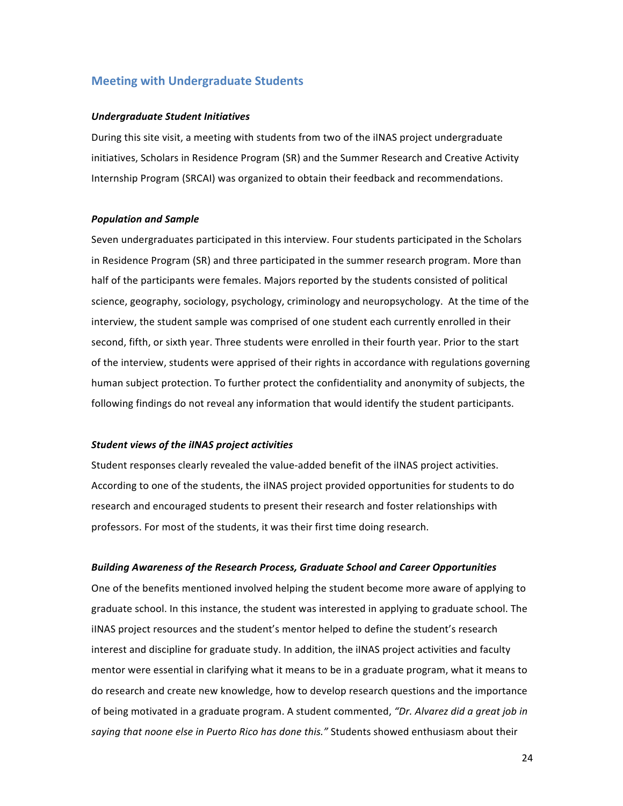## **Meeting with Undergraduate Students**

#### *Undergraduate Student Initiatives*

During this site visit, a meeting with students from two of the iINAS project undergraduate initiatives, Scholars in Residence Program (SR) and the Summer Research and Creative Activity Internship Program (SRCAI) was organized to obtain their feedback and recommendations.

#### *Population and Sample*

Seven undergraduates participated in this interview. Four students participated in the Scholars in Residence Program (SR) and three participated in the summer research program. More than half of the participants were females. Majors reported by the students consisted of political science, geography, sociology, psychology, criminology and neuropsychology. At the time of the interview, the student sample was comprised of one student each currently enrolled in their second, fifth, or sixth year. Three students were enrolled in their fourth year. Prior to the start of the interview, students were apprised of their rights in accordance with regulations governing human subject protection. To further protect the confidentiality and anonymity of subjects, the following findings do not reveal any information that would identify the student participants.

#### *Student views of the iINAS project activities*

Student responses clearly revealed the value-added benefit of the iINAS project activities. According to one of the students, the iINAS project provided opportunities for students to do research and encouraged students to present their research and foster relationships with professors. For most of the students, it was their first time doing research.

#### *Building Awareness of the Research Process, Graduate School and Career Opportunities*

One of the benefits mentioned involved helping the student become more aware of applying to graduate school. In this instance, the student was interested in applying to graduate school. The iINAS project resources and the student's mentor helped to define the student's research interest and discipline for graduate study. In addition, the iINAS project activities and faculty mentor were essential in clarifying what it means to be in a graduate program, what it means to do research and create new knowledge, how to develop research questions and the importance of being motivated in a graduate program. A student commented, "Dr. Alvarez did a great job in saying that noone else in Puerto Rico has done this." Students showed enthusiasm about their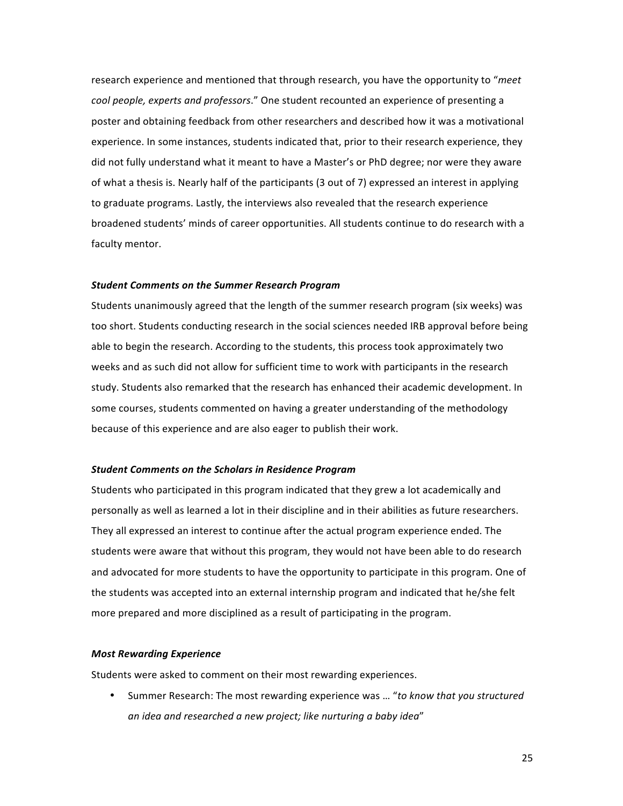research experience and mentioned that through research, you have the opportunity to "*meet cool people, experts and professors.*" One student recounted an experience of presenting a poster and obtaining feedback from other researchers and described how it was a motivational experience. In some instances, students indicated that, prior to their research experience, they did not fully understand what it meant to have a Master's or PhD degree; nor were they aware of what a thesis is. Nearly half of the participants (3 out of 7) expressed an interest in applying to graduate programs. Lastly, the interviews also revealed that the research experience broadened students' minds of career opportunities. All students continue to do research with a faculty mentor.

#### *Student Comments on the Summer Research Program*

Students unanimously agreed that the length of the summer research program (six weeks) was too short. Students conducting research in the social sciences needed IRB approval before being able to begin the research. According to the students, this process took approximately two weeks and as such did not allow for sufficient time to work with participants in the research study. Students also remarked that the research has enhanced their academic development. In some courses, students commented on having a greater understanding of the methodology because of this experience and are also eager to publish their work.

#### *Student Comments on the Scholars in Residence Program*

Students who participated in this program indicated that they grew a lot academically and personally as well as learned a lot in their discipline and in their abilities as future researchers. They all expressed an interest to continue after the actual program experience ended. The students were aware that without this program, they would not have been able to do research and advocated for more students to have the opportunity to participate in this program. One of the students was accepted into an external internship program and indicated that he/she felt more prepared and more disciplined as a result of participating in the program.

#### **Most Rewarding Experience**

Students were asked to comment on their most rewarding experiences.

• Summer Research: The most rewarding experience was ... "to know that you structured an *idea* and researched a new project; like nurturing a baby idea"

25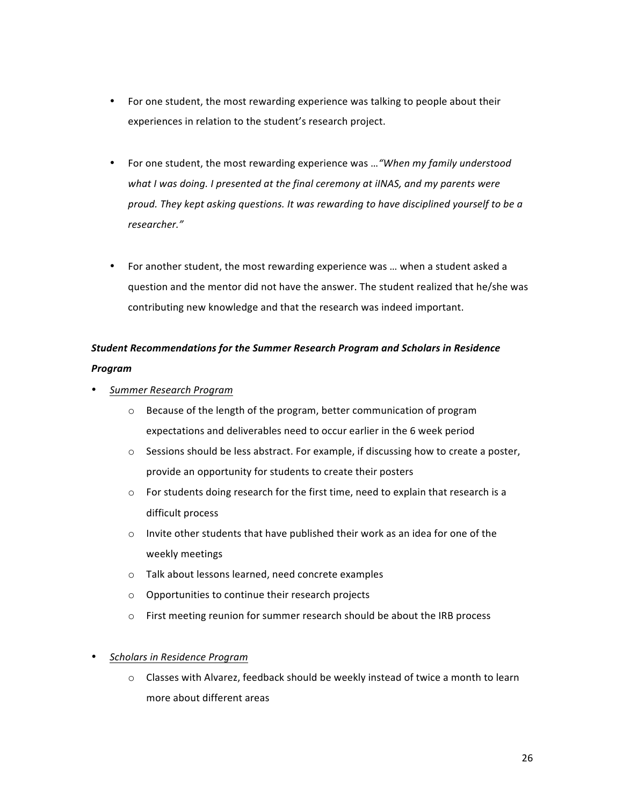- For one student, the most rewarding experience was talking to people about their experiences in relation to the student's research project.
- For one student, the most rewarding experience was ... "When my family understood what I was doing. I presented at the final ceremony at iINAS, and my parents were *proud.* They kept asking questions. It was rewarding to have disciplined yourself to be a *researcher."*
- For another student, the most rewarding experience was ... when a student asked a question and the mentor did not have the answer. The student realized that he/she was contributing new knowledge and that the research was indeed important.

# *Student Recommendations for the Summer Research Program and Scholars in Residence Program*

- *Summer Research Program*
	- $\circ$  Because of the length of the program, better communication of program expectations and deliverables need to occur earlier in the 6 week period
	- $\circ$  Sessions should be less abstract. For example, if discussing how to create a poster, provide an opportunity for students to create their posters
	- $\circ$  For students doing research for the first time, need to explain that research is a difficult process
	- $\circ$  Invite other students that have published their work as an idea for one of the weekly meetings
	- o Talk about lessons learned, need concrete examples
	- $\circ$  Opportunities to continue their research projects
	- o First meeting reunion for summer research should be about the IRB process

## • *Scholars in Residence Program*

 $\circ$  Classes with Alvarez, feedback should be weekly instead of twice a month to learn more about different areas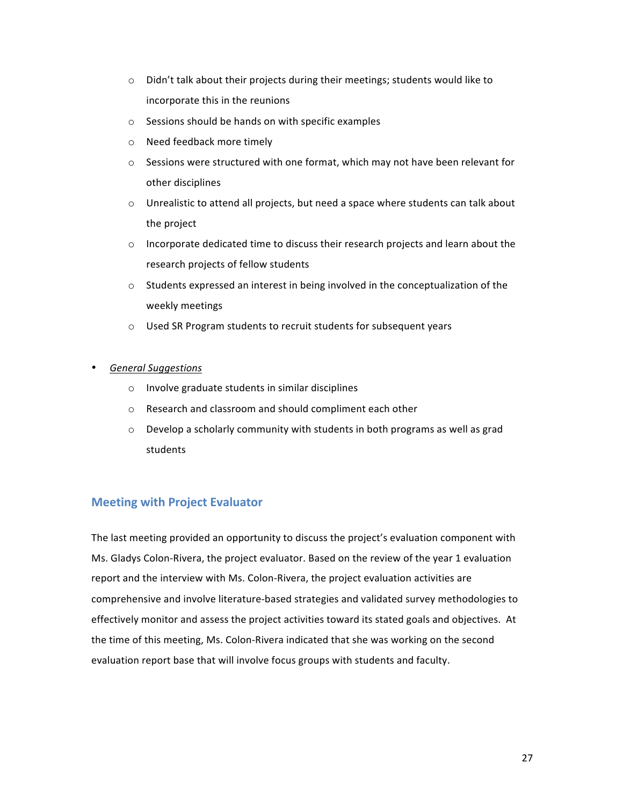- $\circ$  Didn't talk about their projects during their meetings; students would like to incorporate this in the reunions
- $\circ$  Sessions should be hands on with specific examples
- o Need feedback more timely
- $\circ$  Sessions were structured with one format, which may not have been relevant for other disciplines
- $\circ$  Unrealistic to attend all projects, but need a space where students can talk about the project
- $\circ$  Incorporate dedicated time to discuss their research projects and learn about the research projects of fellow students
- $\circ$  Students expressed an interest in being involved in the conceptualization of the weekly meetings
- o Used SR Program students to recruit students for subsequent years
- *General Suggestions*
	- $\circ$  Involve graduate students in similar disciplines
	- o Research and classroom and should compliment each other
	- $\circ$  Develop a scholarly community with students in both programs as well as grad students

## **Meeting with Project Evaluator**

The last meeting provided an opportunity to discuss the project's evaluation component with Ms. Gladys Colon-Rivera, the project evaluator. Based on the review of the year 1 evaluation report and the interview with Ms. Colon-Rivera, the project evaluation activities are comprehensive and involve literature-based strategies and validated survey methodologies to effectively monitor and assess the project activities toward its stated goals and objectives. At the time of this meeting, Ms. Colon-Rivera indicated that she was working on the second evaluation report base that will involve focus groups with students and faculty.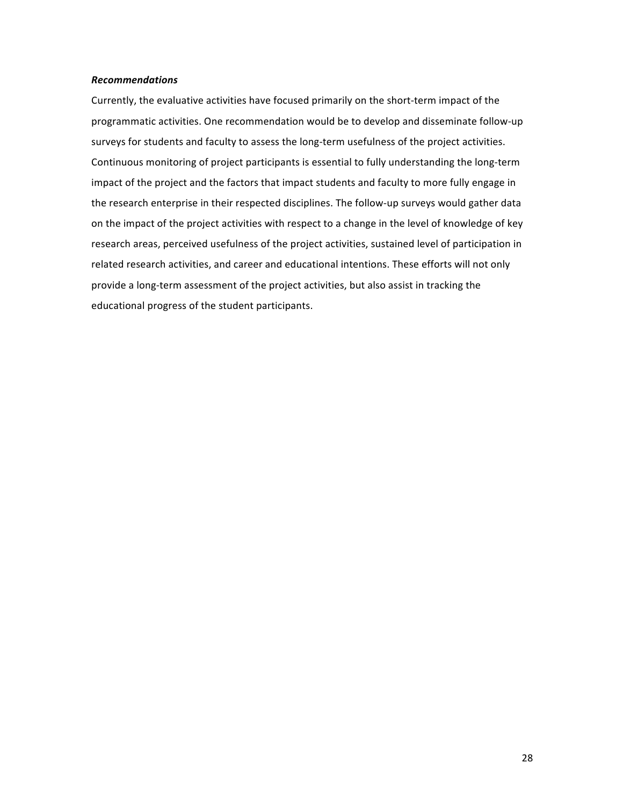#### *Recommendations*

Currently, the evaluative activities have focused primarily on the short-term impact of the programmatic activities. One recommendation would be to develop and disseminate follow-up surveys for students and faculty to assess the long-term usefulness of the project activities. Continuous monitoring of project participants is essential to fully understanding the long-term impact of the project and the factors that impact students and faculty to more fully engage in the research enterprise in their respected disciplines. The follow-up surveys would gather data on the impact of the project activities with respect to a change in the level of knowledge of key research areas, perceived usefulness of the project activities, sustained level of participation in related research activities, and career and educational intentions. These efforts will not only provide a long-term assessment of the project activities, but also assist in tracking the educational progress of the student participants.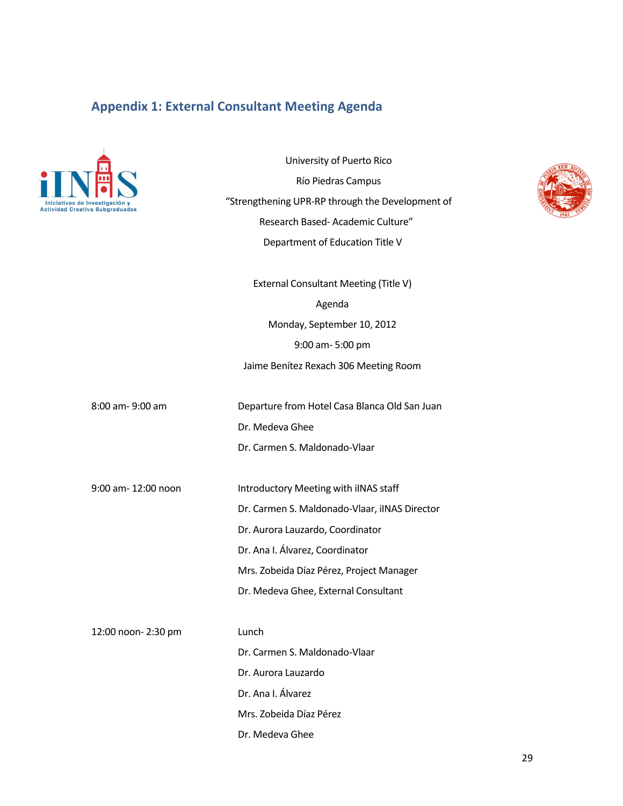## **Appendix 1: External Consultant Meeting Agenda**



University of Puerto Rico Río Piedras Campus "Strengthening UPR-RP through the Development of Research Based- Academic Culture" Department of Education Title V External Consultant Meeting (Title V) Agenda

Monday, September 10, 2012 9:00 am- 5:00 pm Jaime Benítez Rexach 306 Meeting Room

8:00 am- 9:00 am Departure from Hotel Casa Blanca Old San Juan Dr. Medeva Ghee Dr. Carmen S. Maldonado-Vlaar

9:00 am- 12:00 noon Introductory Meeting with iINAS staff

Dr. Carmen S. Maldonado-Vlaar, iINAS Director Dr. Aurora Lauzardo, Coordinator Dr. Ana I. Álvarez, Coordinator Mrs. Zobeida Díaz Pérez, Project Manager Dr. Medeva Ghee, External Consultant

12:00 noon- 2:30 pm Lunch Dr. Carmen S. Maldonado-Vlaar Dr. Aurora Lauzardo Dr. Ana I. Álvarez Mrs. Zobeida Díaz Pérez Dr. Medeva Ghee

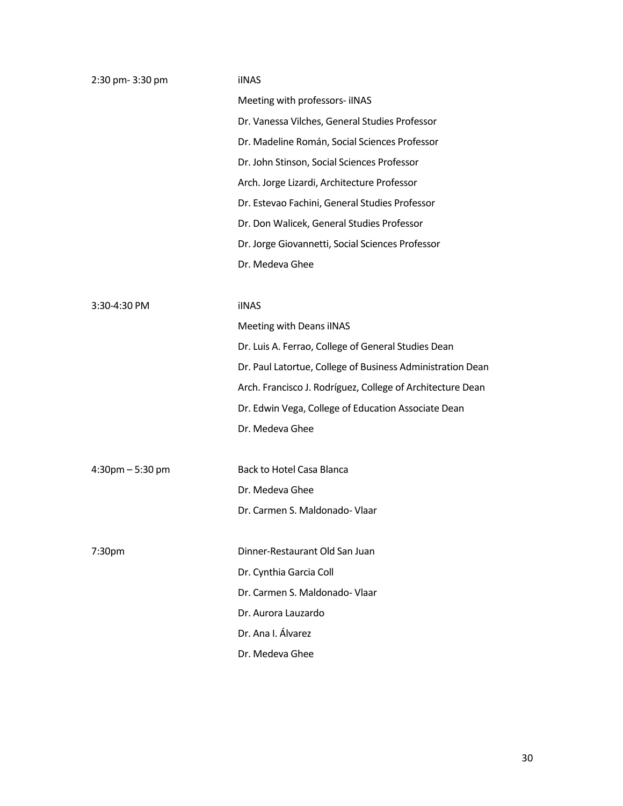| 2:30 pm- 3:30 pm                  | <b>iINAS</b>                                               |
|-----------------------------------|------------------------------------------------------------|
|                                   | Meeting with professors- iINAS                             |
|                                   | Dr. Vanessa Vilches, General Studies Professor             |
|                                   | Dr. Madeline Román, Social Sciences Professor              |
|                                   | Dr. John Stinson, Social Sciences Professor                |
|                                   | Arch. Jorge Lizardi, Architecture Professor                |
|                                   | Dr. Estevao Fachini, General Studies Professor             |
|                                   | Dr. Don Walicek, General Studies Professor                 |
|                                   | Dr. Jorge Giovannetti, Social Sciences Professor           |
|                                   | Dr. Medeva Ghee                                            |
|                                   |                                                            |
| 3:30-4:30 PM                      | <b>iINAS</b>                                               |
|                                   | Meeting with Deans iINAS                                   |
|                                   | Dr. Luis A. Ferrao, College of General Studies Dean        |
|                                   | Dr. Paul Latortue, College of Business Administration Dean |
|                                   | Arch. Francisco J. Rodríguez, College of Architecture Dean |
|                                   | Dr. Edwin Vega, College of Education Associate Dean        |
|                                   | Dr. Medeva Ghee                                            |
|                                   |                                                            |
| $4:30 \text{pm} - 5:30 \text{pm}$ | Back to Hotel Casa Blanca                                  |
|                                   | Dr. Medeva Ghee                                            |
|                                   | Dr. Carmen S. Maldonado- Vlaar                             |
|                                   |                                                            |
| 7:30pm                            | Dinner-Restaurant Old San Juan                             |
|                                   | Dr. Cynthia Garcia Coll                                    |
|                                   | Dr. Carmen S. Maldonado- Vlaar                             |
|                                   | Dr. Aurora Lauzardo                                        |
|                                   | Dr. Ana I. Álvarez                                         |
|                                   | Dr. Medeva Ghee                                            |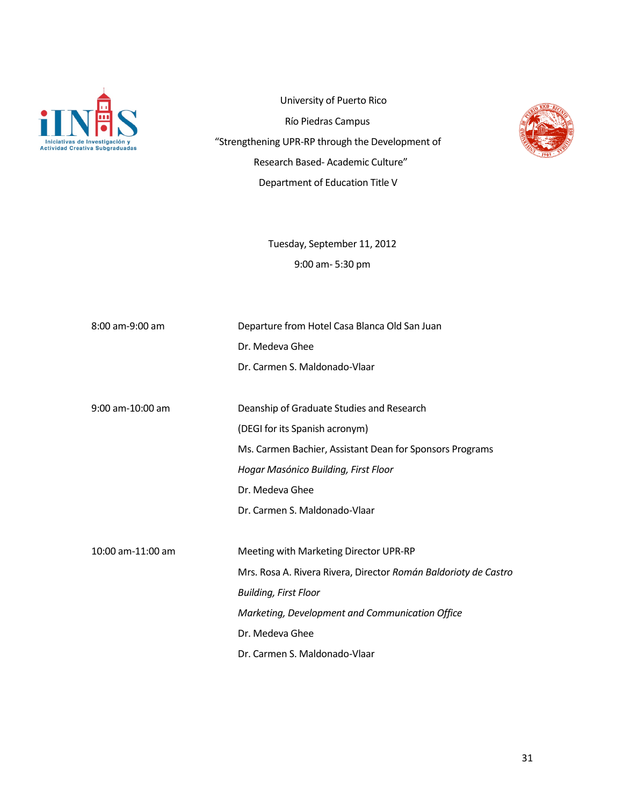

University of Puerto Rico Río Piedras Campus "Strengthening UPR-RP through the Development of Research Based- Academic Culture" Department of Education Title V



Tuesday, September 11, 2012 9:00 am- 5:30 pm

| 8:00 am-9:00 am    | Departure from Hotel Casa Blanca Old San Juan                   |
|--------------------|-----------------------------------------------------------------|
|                    | Dr. Medeva Ghee                                                 |
|                    | Dr. Carmen S. Maldonado-Vlaar                                   |
|                    |                                                                 |
| $9:00$ am-10:00 am | Deanship of Graduate Studies and Research                       |
|                    | (DEGI for its Spanish acronym)                                  |
|                    | Ms. Carmen Bachier, Assistant Dean for Sponsors Programs        |
|                    | Hogar Masónico Building, First Floor                            |
|                    | Dr. Medeva Ghee                                                 |
|                    | Dr. Carmen S. Maldonado-Vlaar                                   |
|                    |                                                                 |
| 10:00 am-11:00 am  | Meeting with Marketing Director UPR-RP                          |
|                    | Mrs. Rosa A. Rivera Rivera, Director Román Baldorioty de Castro |
|                    | <b>Building, First Floor</b>                                    |
|                    | Marketing, Development and Communication Office                 |
|                    | Dr. Medeva Ghee                                                 |
|                    | Dr. Carmen S. Maldonado-Vlaar                                   |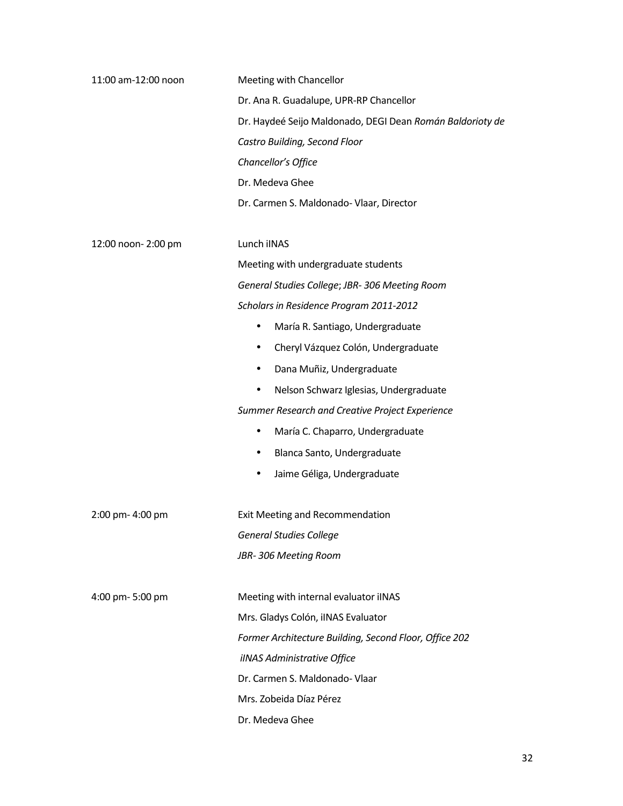| 11:00 am-12:00 noon | Meeting with Chancellor                                   |
|---------------------|-----------------------------------------------------------|
|                     | Dr. Ana R. Guadalupe, UPR-RP Chancellor                   |
|                     | Dr. Haydeé Seijo Maldonado, DEGI Dean Román Baldorioty de |
|                     | Castro Building, Second Floor                             |
|                     | Chancellor's Office                                       |
|                     | Dr. Medeva Ghee                                           |
|                     | Dr. Carmen S. Maldonado- Vlaar, Director                  |
| 12:00 noon- 2:00 pm | Lunch iINAS                                               |
|                     | Meeting with undergraduate students                       |
|                     | General Studies College; JBR-306 Meeting Room             |
|                     | Scholars in Residence Program 2011-2012                   |
|                     | María R. Santiago, Undergraduate<br>٠                     |
|                     | Cheryl Vázquez Colón, Undergraduate<br>٠                  |
|                     | Dana Muñiz, Undergraduate<br>٠                            |
|                     | Nelson Schwarz Iglesias, Undergraduate<br>$\bullet$       |
|                     | Summer Research and Creative Project Experience           |
|                     | María C. Chaparro, Undergraduate<br>٠                     |
|                     | Blanca Santo, Undergraduate<br>٠                          |
|                     | Jaime Géliga, Undergraduate<br>٠                          |
| 2:00 pm- 4:00 pm    | Exit Meeting and Recommendation                           |
|                     | <b>General Studies College</b>                            |
|                     | JBR-306 Meeting Room                                      |
| 4:00 pm- 5:00 pm    | Meeting with internal evaluator iINAS                     |
|                     | Mrs. Gladys Colón, iINAS Evaluator                        |
|                     | Former Architecture Building, Second Floor, Office 202    |
|                     | iINAS Administrative Office                               |
|                     | Dr. Carmen S. Maldonado- Vlaar                            |
|                     | Mrs. Zobeida Díaz Pérez                                   |
|                     | Dr. Medeva Ghee                                           |